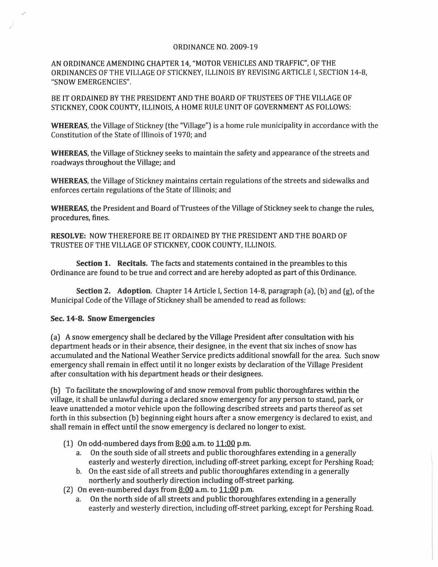## ORDINANCE NO. 2009-19

AN ORDINANCE AMENDING CHAPTER 14, "MOTOR VEHICLES AND TRAFFIC", OF THE ORDINANCES OF THE VILLAGE OF STICKNEY, ILLINOIS BY REVISING ARTICLE I, SECTION 14-8, "SNOW EMERGENCIES".

BE IT ORDAINED BY THE PRESIDENT AND THE BOARD OF TRUSTEES OF THE VILLAGE OF STICKNEY, COOK COUNTY, ILLINOIS, A HOME RULE UNIT OF GOVERNMENT AS FOLLOWS:

WHEREAS, the Village of Stickney (the "Village") is a home rule municipality in accordance with the Constitution of the State of Illinois of 1970; and

WHEREAS, the Village of Stickney seeks to maintain the safety and appearance of the streets and roadways throughout the Village; and

WHEREAS, the Village of Stickney maintains certain regulations of the streets and sidewalks and enforces certain regulations of the State of Illinois; and

WHEREAS, the President and Board of Trustees of the Village of Stickney seek to change the rules, procedures, fines.

RESOLVE: NOW THEREFORE BE IT ORDAINED BY THE PRESIDENT AND THE BOARD OF TRUSTEE OF THE VILLAGE OF STICKNEY, COOK COUNTY, ILLINOIS.

Section 1. Recitals. The facts and statements contained in the preambles to this Ordinance are found to be true and correct and are hereby adopted as part of this Ordinance.

Section 2. Adoption. Chapter 14 Article I, Section 14-8, paragraph (a), (b) and (g), of the Municipal Code of the Village of Stickney shall be amended to read as follows:

## Sec. 14-8. Snow Emergencies

(a) A snow emergency shall be declared by the Village President after consultation with his department heads or in their absence, their designee, in the event that six inches of snow has accumulated and the National Weather Service predicts additional snowfall for the area. Such snow emergency shall remain in effect until it no longer exists by declaration of the Village President after consultation with his department heads or their designees.

(b) To facilitate the snowplowing of and snow removal from public thoroughfares within the village, it shall be unlawful during a declared snow emergency for any person to stand, park, or leave unattended a motor vehicle upon the following described streets and parts thereof as set forth in this subsection (b) beginning eight hours after a snow emergency is declared to exist, and shall remain in effect until the snow emergency is declared no longer to exist.

- (1) On odd-numbered days from 8:00 a.m. to 11:00 p.m.
	- a. On the south side of all streets and public thoroughfares extending in a generally easterly and westerly direction, including off-street parking, except for Pershing Road;
	- b. On the east side of all streets and public thoroughfares extending in a generally northerly and southerly direction including off-street parking.
- (2) On even-numbered days from  $8:00$  a.m. to  $11:00$  p.m.
	- a. On the north side of all streets and public thoroughfares extending in a generally easterly and westerly direction, including off-street parking, except for Pershing Road.